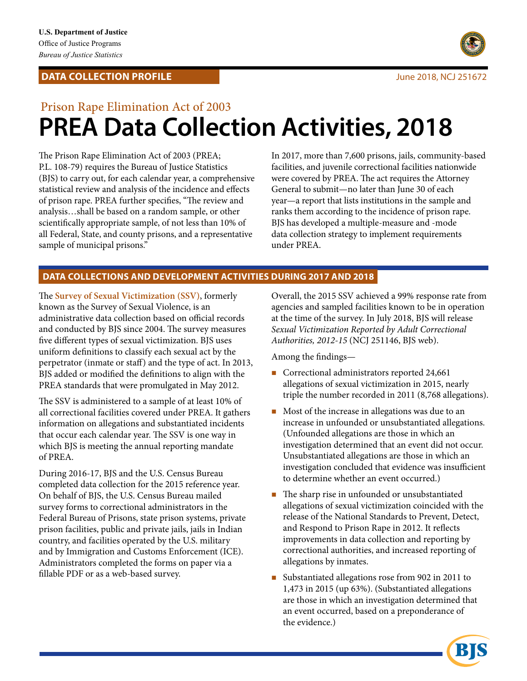## **DATA COLLECTION PROFILE**



# Prison Rape Elimination Act of 2003 **PREA Data Collection Activities, 2018**

The Prison Rape Elimination Act of 2003 (PREA; In 2017, more than 7,600 prisons, jails, community-based P.L. 108-79) requires the Bureau of Justice Statistics facilities, and juvenile correctional facilities nationwide (BJS) to carry out, for each calendar year, a comprehensive were covered by PREA. The act requires the Attorney statistical review and analysis of the incidence and effects General to submit—no later than June 30 of each of prison rape. PREA further specifies, "The review and year—a report that lists institutions in the sample and analysis...shall be based on a random sample, or other ranks them according to the incidence of prison rape. scientifically appropriate sample, of not less than 10% of BJS has developed a multiple-measure and -mode all Federal, State, and county prisons, and a representative data collection strategy to implement requirements sample of municipal prisons." The contract of municipal prisons."

## **DATA COLLECTIONS AND DEVELOPMENT ACTIVITIES DURING 2017 AND 2018**

The **Survey of Sexual Victimization (SSV)**, formerly known as the Survey of Sexual Violence, is an administrative data collection based on official records and conducted by BJS since 2004. The survey measures fve diferent types of sexual victimization. BJS uses uniform defnitions to classify each sexual act by the perpetrator (inmate or staff) and the type of act. In 2013, BJS added or modifed the defnitions to align with the PREA standards that were promulgated in May 2012.

The SSV is administered to a sample of at least 10% of all correctional facilities covered under PREA. It gathers information on allegations and substantiated incidents that occur each calendar year. The SSV is one way in which BJS is meeting the annual reporting mandate of PREA.

During 2016-17, BJS and the U.S. Census Bureau completed data collection for the 2015 reference year. On behalf of BJS, the U.S. Census Bureau mailed survey forms to correctional administrators in the Federal Bureau of Prisons, state prison systems, private prison facilities, public and private jails, jails in Indian country, and facilities operated by the U.S. military and by Immigration and Customs Enforcement (ICE). Administrators completed the forms on paper via a fllable PDF or as a web-based survey.

Overall, the 2015 SSV achieved a 99% response rate from agencies and sampled facilities known to be in operation at the time of the survey. In July 2018, BJS will release *Sexual Victimization Reported by Adult Correctional Authorities, 2012-15* (NCJ 251146, BJS web).

Among the fndings—

- Correctional administrators reported 24,661 allegations of sexual victimization in 2015, nearly triple the number recorded in 2011 (8,768 allegations).
- Most of the increase in allegations was due to an increase in unfounded or unsubstantiated allegations. (Unfounded allegations are those in which an investigation determined that an event did not occur. Unsubstantiated allegations are those in which an investigation concluded that evidence was insufficient to determine whether an event occurred.)
- $\blacksquare$  The sharp rise in unfounded or unsubstantiated allegations of sexual victimization coincided with the release of the National Standards to Prevent, Detect, and Respond to Prison Rape in 2012. It refects improvements in data collection and reporting by correctional authorities, and increased reporting of allegations by inmates.
- Substantiated allegations rose from 902 in 2011 to 1,473 in 2015 (up 63%). (Substantiated allegations are those in which an investigation determined that an event occurred, based on a preponderance of the evidence.)

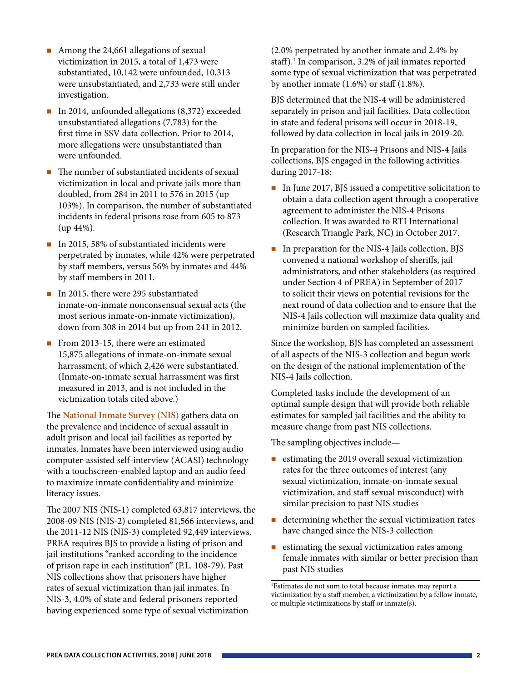- Among the 24,661 allegations of sexual victimization in 2015, a total of 1,473 were substantiated, 10,142 were unfounded, 10,313 were unsubstantiated, and 2,733 were still under investigation.
- In 2014, unfounded allegations (8,372) exceeded unsubstantiated allegations (7,783) for the frst time in SSV data collection. Prior to 2014, more allegations were unsubstantiated than were unfounded.
- $\blacksquare$  The number of substantiated incidents of sexual victimization in local and private jails more than doubled, from 284 in 2011 to 576 in 2015 (up 103%). In comparison, the number of substantiated incidents in federal prisons rose from 605 to 873 (up 44%).
- In 2015, 58% of substantiated incidents were perpetrated by inmates, while 42% were perpetrated by staff members, versus 56% by inmates and 44% by staf members in 2011.
- In 2015, there were 295 substantiated inmate-on-inmate nonconsensual sexual acts (the most serious inmate-on-inmate victimization), down from 308 in 2014 but up from 241 in 2012.
- From 2013-15, there were an estimated 15,875 allegations of inmate-on-inmate sexual harrassment, of which 2,426 were substantiated. (Inmate-on-inmate sexual harrassment was frst measured in 2013, and is not included in the victmization totals cited above.)

The **National Inmate Survey (NIS)** gathers data on the prevalence and incidence of sexual assault in adult prison and local jail facilities as reported by inmates. Inmates have been interviewed using audio computer-assisted self-interview (ACASI) technology with a touchscreen-enabled laptop and an audio feed to maximize inmate confdentiality and minimize literacy issues.

The 2007 NIS (NIS-1) completed 63,817 interviews, the 2008-09 NIS (NIS-2) completed 81,566 interviews, and the 2011-12 NIS (NIS-3) completed 92,449 interviews. PREA requires BJS to provide a listing of prison and jail institutions "ranked according to the incidence of prison rape in each institution" (P.L. 108-79). Past NIS collections show that prisoners have higher rates of sexual victimization than jail inmates. In NIS-3, 4.0% of state and federal prisoners reported having experienced some type of sexual victimization

(2.0% perpetrated by another inmate and 2.4% by staff).<sup>1</sup> In comparison, 3.2% of jail inmates reported some type of sexual victimization that was perpetrated by another inmate  $(1.6%)$  or staff  $(1.8%).$ 

BJS determined that the NIS-4 will be administered separately in prison and jail facilities. Data collection in state and federal prisons will occur in 2018-19, followed by data collection in local jails in 2019-20.

In preparation for the NIS-4 Prisons and NIS-4 Jails collections, BJS engaged in the following activities during 2017-18:

- In June 2017, BJS issued a competitive solicitation to obtain a data collection agent through a cooperative agreement to administer the NIS-4 Prisons collection. It was awarded to RTI International (Research Triangle Park, NC) in October 2017.
- $\blacksquare$  In preparation for the NIS-4 Jails collection, BJS convened a national workshop of sherifs, jail administrators, and other stakeholders (as required under Section 4 of PREA) in September of 2017 to solicit their views on potential revisions for the next round of data collection and to ensure that the NIS-4 Jails collection will maximize data quality and minimize burden on sampled facilities.

Since the workshop, BJS has completed an assessment of all aspects of the NIS-3 collection and begun work on the design of the national implementation of the NIS-4 Jails collection.

Completed tasks include the development of an optimal sample design that will provide both reliable estimates for sampled jail facilities and the ability to measure change from past NIS collections.

The sampling objectives include—

- $\blacksquare$  estimating the 2019 overall sexual victimization rates for the three outcomes of interest (any sexual victimization, inmate-on-inmate sexual victimization, and staf sexual misconduct) with similar precision to past NIS studies
- determining whether the sexual victimization rates have changed since the NIS-3 collection
- $\blacksquare$  estimating the sexual victimization rates among female inmates with similar or better precision than past NIS studies

1 Estimates do not sum to total because inmates may report a victimization by a staf member, a victimization by a fellow inmate, or multiple victimizations by staff or inmate(s).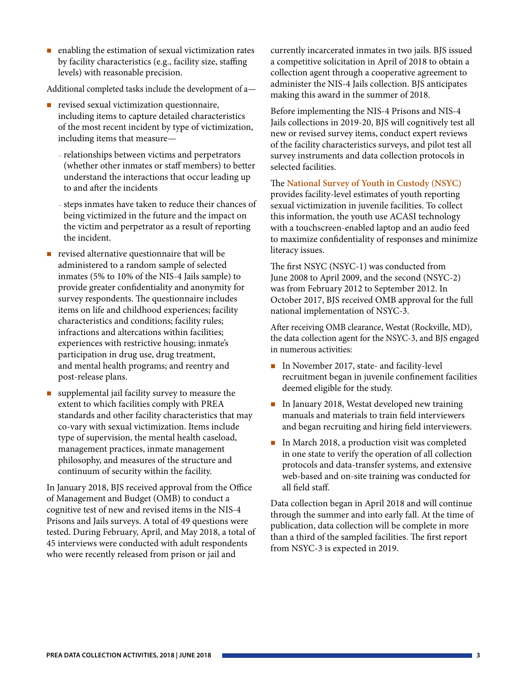**Example 1** enabling the estimation of sexual victimization rates currently incarcerated inmates in two jails. BJS issued levels) with reasonable precision. collection agent through a cooperative agreement to

Additional completed tasks include the development of a—

- $\blacksquare$  revised sexual victimization questionnaire, including items to capture detailed characteristics of the most recent incident by type of victimization, including items that measure—
	- relationships between victims and perpetrators (whether other inmates or staf members) to better understand the interactions that occur leading up to and afer the incidents
	- steps inmates have taken to reduce their chances of being victimized in the future and the impact on the victim and perpetrator as a result of reporting the incident.
- $\blacksquare$  revised alternative questionnaire that will be administered to a random sample of selected inmates (5% to 10% of the NIS-4 Jails sample) to provide greater confdentiality and anonymity for survey respondents. The questionnaire includes items on life and childhood experiences; facility characteristics and conditions; facility rules; infractions and altercations within facilities; experiences with restrictive housing; inmate's participation in drug use, drug treatment, and mental health programs; and reentry and post-release plans.
- supplemental jail facility survey to measure the extent to which facilities comply with PREA standards and other facility characteristics that may co-vary with sexual victimization. Items include type of supervision, the mental health caseload, management practices, inmate management philosophy, and measures of the structure and continuum of security within the facility.

In January 2018, BJS received approval from the Office of Management and Budget (OMB) to conduct a cognitive test of new and revised items in the NIS-4 Prisons and Jails surveys. A total of 49 questions were tested. During February, April, and May 2018, a total of 45 interviews were conducted with adult respondents who were recently released from prison or jail and

by facility characteristics (e.g., facility size, staffing a competitive solicitation in April of 2018 to obtain a administer the NIS-4 Jails collection. BJS anticipates making this award in the summer of 2018.

> Before implementing the NIS-4 Prisons and NIS-4 Jails collections in 2019-20, BJS will cognitively test all new or revised survey items, conduct expert reviews of the facility characteristics surveys, and pilot test all survey instruments and data collection protocols in selected facilities.

### The **National Survey of Youth in Custody (NSYC)**

provides facility-level estimates of youth reporting sexual victimization in juvenile facilities. To collect this information, the youth use ACASI technology with a touchscreen-enabled laptop and an audio feed to maximize confdentiality of responses and minimize literacy issues.

The first NSYC (NSYC-1) was conducted from June 2008 to April 2009, and the second (NSYC-2) was from February 2012 to September 2012. In October 2017, BJS received OMB approval for the full national implementation of NSYC-3.

Afer receiving OMB clearance, Westat (Rockville, MD), the data collection agent for the NSYC-3, and BJS engaged in numerous activities:

- In November 2017, state- and facility-level recruitment began in juvenile confnement facilities deemed eligible for the study.
- In January 2018, Westat developed new training manuals and materials to train feld interviewers and began recruiting and hiring feld interviewers.
- In March 2018, a production visit was completed in one state to verify the operation of all collection protocols and data-transfer systems, and extensive web-based and on-site training was conducted for all feld staf.

Data collection began in April 2018 and will continue through the summer and into early fall. At the time of publication, data collection will be complete in more than a third of the sampled facilities. The first report from NSYC-3 is expected in 2019.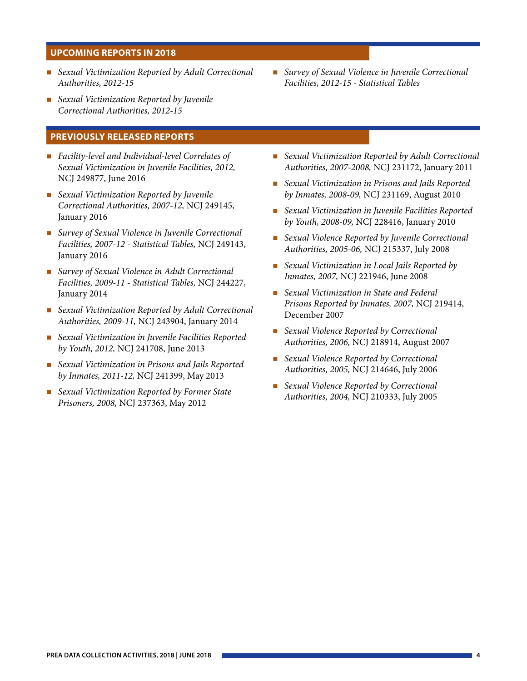#### **UPCOMING REPORTS IN 2018**

- *Sexual Victimization Reported by Adult Correctional Survey of Sexual Violence in Juvenile Correctional*
- *Sexual Victimization Reported by Juvenile Correctional Authorities, 2012-15*

#### **PREVIOUSLY RELEASED REPORTS**

- *Facility-level and Individual-level Correlates of Sexual Victimization in Juvenile Facilities, 2012,*  NCJ 249877, June 2016
- *Sexual Victimization Reported by Juvenile Correctional Authorities, 2007-12,* NCJ 249145, January 2016
- *Survey of Sexual Violence in Juvenile Correctional Facilities, 2007-12 - Statistical Tables,* NCJ 249143, January 2016
- *Survey of Sexual Violence in Adult Correctional Facilities, 2009-11 - Statistical Tables,* NCJ 244227, January 2014
- *Sexual Victimization Reported by Adult Correctional Authorities, 2009-11,* NCJ 243904, January 2014
- *Sexual Victimization in Juvenile Facilities Reported by Youth, 2012,* NCJ 241708, June 2013
- *Sexual Victimization in Prisons and Jails Reported by Inmates, 2011-12,* NCJ 241399, May 2013
- *Sexual Victimization Reported by Former State Prisoners, 2008,* NCJ 237363, May 2012
- *Authorities, 2012-15 Facilities, 2012-15 Statistical Tables*
- *Sexual Victimization Reported by Adult Correctional Authorities, 2007-2008,* NCJ 231172, January 2011
- *Sexual Victimization in Prisons and Jails Reported by Inmates, 2008-09,* NCJ 231169, August 2010
- *Sexual Victimization in Juvenile Facilities Reported by Youth, 2008-09,* NCJ 228416, January 2010
- *Sexual Violence Reported by Juvenile Correctional Authorities, 2005-06,* NCJ 215337, July 2008
- *Sexual Victimization in Local Jails Reported by Inmates, 2007,* NCJ 221946, June 2008
- *Sexual Victimization in State and Federal Prisons Reported by Inmates, 2007,* NCJ 219414, December 2007
- *Sexual Violence Reported by Correctional Authorities, 2006,* NCJ 218914, August 2007
- *Sexual Violence Reported by Correctional Authorities, 2005,* NCJ 214646, July 2006
- *Sexual Violence Reported by Correctional Authorities, 2004,* NCJ 210333, July 2005